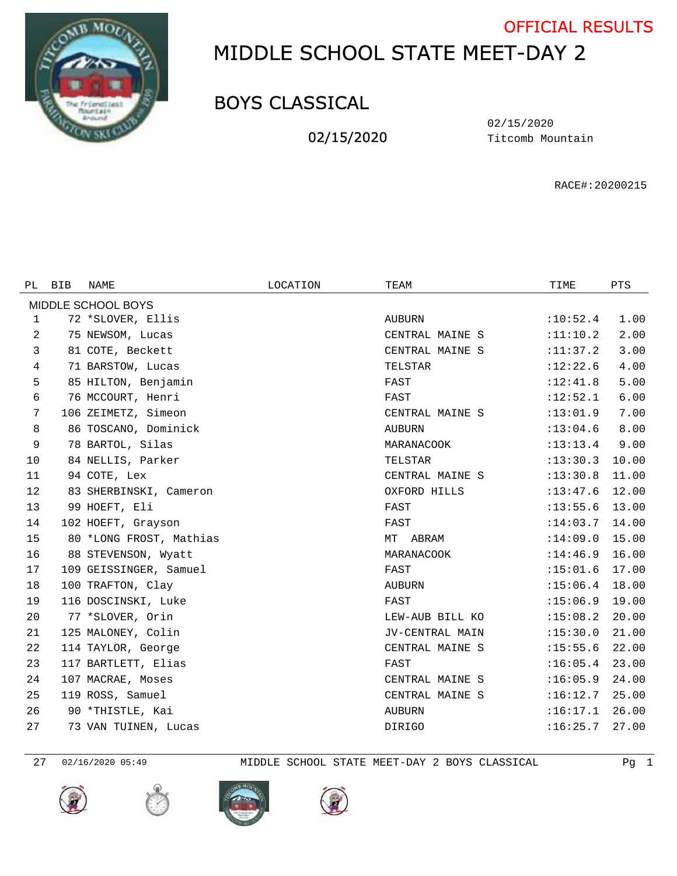

## MIDDLE SCHOOL STATE MEET-DAY 2 OFFICIAL RESULTS

## BOYS CLASSICAL

02/15/2020

Titcomb Mountain 02/15/2020

RACE#:20200215

| PL                 | <b>BIB</b> | NAME                    | LOCATION | TEAM            | TIME       | <b>PTS</b> |  |  |  |  |
|--------------------|------------|-------------------------|----------|-----------------|------------|------------|--|--|--|--|
| MIDDLE SCHOOL BOYS |            |                         |          |                 |            |            |  |  |  |  |
| 1                  |            | 72 *SLOVER, Ellis       |          | AUBURN          | :10:52.4   | 1.00       |  |  |  |  |
| 2                  |            | 75 NEWSOM, Lucas        |          | CENTRAL MAINE S | :11:10.2   | 2.00       |  |  |  |  |
| 3                  |            | 81 COTE, Beckett        |          | CENTRAL MAINE S | : 11: 37.2 | 3.00       |  |  |  |  |
| 4                  |            | 71 BARSTOW, Lucas       |          | TELSTAR         | :12:22.6   | 4.00       |  |  |  |  |
| 5                  |            | 85 HILTON, Benjamin     |          | FAST            | :12:41.8   | 5.00       |  |  |  |  |
| 6                  |            | 76 MCCOURT, Henri       |          | FAST            | :12:52.1   | 6.00       |  |  |  |  |
| 7                  |            | 106 ZEIMETZ, Simeon     |          | CENTRAL MAINE S | :13:01.9   | 7.00       |  |  |  |  |
| 8                  |            | 86 TOSCANO, Dominick    |          | AUBURN          | :13:04.6   | 8.00       |  |  |  |  |
| 9                  |            | 78 BARTOL, Silas        |          | MARANACOOK      | : 13: 13.4 | 9.00       |  |  |  |  |
| 10                 |            | 84 NELLIS, Parker       |          | TELSTAR         | :13:30.3   | 10.00      |  |  |  |  |
| 11                 |            | 94 COTE, Lex            |          | CENTRAL MAINE S | :13:30.8   | 11.00      |  |  |  |  |
| 12                 |            | 83 SHERBINSKI, Cameron  |          | OXFORD HILLS    | :13:47.6   | 12.00      |  |  |  |  |
| 13                 |            | 99 HOEFT, Eli           |          | FAST            | :13:55.6   | 13.00      |  |  |  |  |
| 14                 |            | 102 HOEFT, Grayson      |          | FAST            | :14:03.7   | 14.00      |  |  |  |  |
| 15                 |            | 80 *LONG FROST, Mathias |          | ABRAM<br>MT     | :14:09.0   | 15.00      |  |  |  |  |
| 16                 |            | 88 STEVENSON, Wyatt     |          | MARANACOOK      | :14:46.9   | 16.00      |  |  |  |  |
| 17                 |            | 109 GEISSINGER, Samuel  |          | FAST            | :15:01.6   | 17.00      |  |  |  |  |
| 18                 |            | 100 TRAFTON, Clay       |          | AUBURN          | :15:06.4   | 18.00      |  |  |  |  |
| 19                 |            | 116 DOSCINSKI, Luke     |          | FAST            | :15:06.9   | 19.00      |  |  |  |  |
| 20                 |            | 77 *SLOVER, Orin        |          | LEW-AUB BILL KO | :15:08.2   | 20.00      |  |  |  |  |
| 21                 |            | 125 MALONEY, Colin      |          | JV-CENTRAL MAIN | :15:30.0   | 21.00      |  |  |  |  |
| 22                 |            | 114 TAYLOR, George      |          | CENTRAL MAINE S | :15:55.6   | 22.00      |  |  |  |  |
| 23                 |            | 117 BARTLETT, Elias     |          | FAST            | :16:05.4   | 23.00      |  |  |  |  |
| 24                 |            | 107 MACRAE, Moses       |          | CENTRAL MAINE S | :16:05.9   | 24.00      |  |  |  |  |
| 25                 |            | 119 ROSS, Samuel        |          | CENTRAL MAINE S | :16:12.7   | 25.00      |  |  |  |  |
| 26                 |            | 90 *THISTLE, Kai        |          | <b>AUBURN</b>   | :16:17.1   | 26.00      |  |  |  |  |
| 27                 |            | 73 VAN TUINEN, Lucas    |          | DIRIGO          | :16:25.7   | 27.00      |  |  |  |  |
|                    |            |                         |          |                 |            |            |  |  |  |  |









02/16/2020 05:49 MIDDLE SCHOOL STATE MEET-DAY 2 BOYS CLASSICAL Pg 1